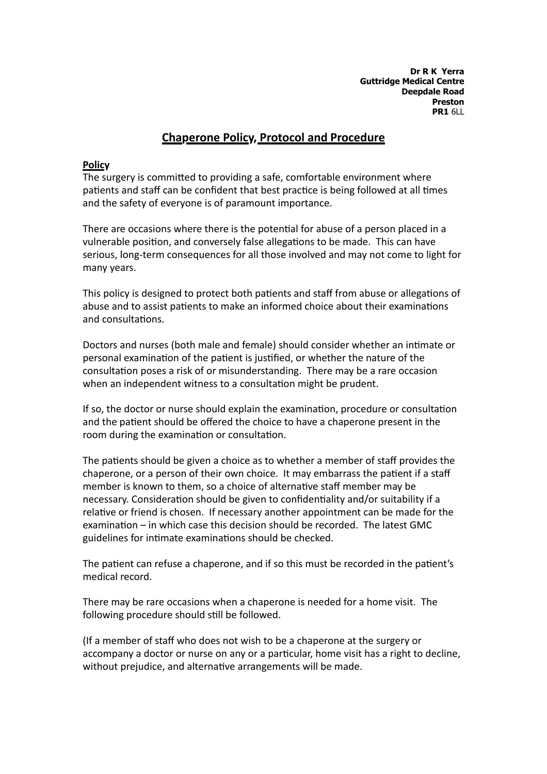**Dr R K Yerra Guttridge Medical Centre Deepdale Road Preston PR1** 6LL

# **Chaperone Policy, Protocol and Procedure**

#### **Policy**

The surgery is committed to providing a safe, comfortable environment where patients and staff can be confident that best practice is being followed at all times and the safety of everyone is of paramount importance.

There are occasions where there is the potential for abuse of a person placed in a vulnerable position, and conversely false allegations to be made. This can have serious, long-term consequences for all those involved and may not come to light for many years.

This policy is designed to protect both patients and staff from abuse or allegations of abuse and to assist patients to make an informed choice about their examinations and consultations.

Doctors and nurses (both male and female) should consider whether an intimate or personal examination of the patient is justified, or whether the nature of the consultation poses a risk of or misunderstanding. There may be a rare occasion when an independent witness to a consultation might be prudent.

If so, the doctor or nurse should explain the examination, procedure or consultation and the patient should be offered the choice to have a chaperone present in the room during the examination or consultation.

The patients should be given a choice as to whether a member of staff provides the chaperone, or a person of their own choice. It may embarrass the patient if a staff member is known to them, so a choice of alternative staff member may be necessary. Consideration should be given to confidentiality and/or suitability if a relative or friend is chosen. If necessary another appointment can be made for the examination – in which case this decision should be recorded. The latest GMC guidelines for intimate examinations should be checked.

The patient can refuse a chaperone, and if so this must be recorded in the patient's medical record.

There may be rare occasions when a chaperone is needed for a home visit. The following procedure should still be followed.

(If a member of staff who does not wish to be a chaperone at the surgery or accompany a doctor or nurse on any or a particular, home visit has a right to decline, without prejudice, and alternative arrangements will be made.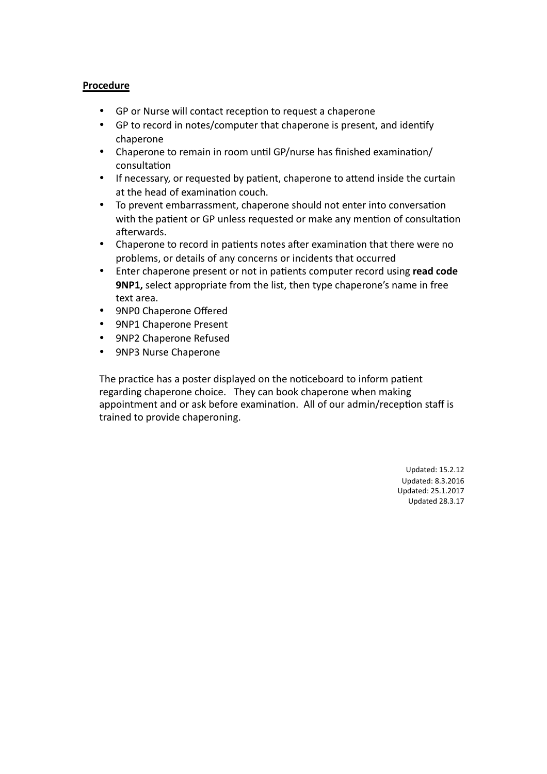#### **Procedure**

- GP or Nurse will contact reception to request a chaperone
- GP to record in notes/computer that chaperone is present, and identify chaperone
- Chaperone to remain in room until GP/nurse has finished examination/ consultation
- If necessary, or requested by patient, chaperone to attend inside the curtain at the head of examination couch.
- To prevent embarrassment, chaperone should not enter into conversation with the patient or GP unless requested or make any mention of consultation afterwards.
- Chaperone to record in patients notes after examination that there were no problems, or details of any concerns or incidents that occurred
- Enter chaperone present or not in patients computer record using **read code 9NP1,** select appropriate from the list, then type chaperone's name in free text area.
- 9NP0 Chaperone Offered
- 9NP1 Chaperone Present
- 9NP2 Chaperone Refused
- 9NP3 Nurse Chaperone

The practice has a poster displayed on the noticeboard to inform patient regarding chaperone choice. They can book chaperone when making appointment and or ask before examination. All of our admin/reception staff is trained to provide chaperoning.

> Updated: 15.2.12 Updated: 8.3.2016 Updated: 25.1.2017 Updated 28.3.17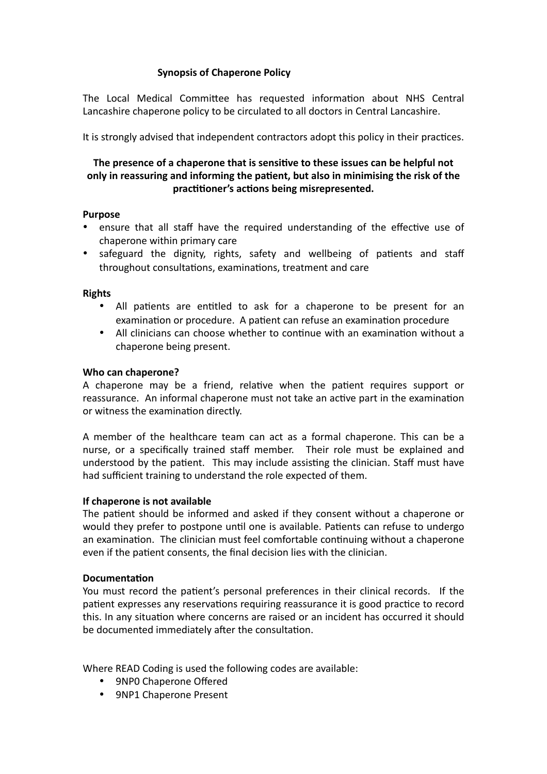## **Synopsis of Chaperone Policy**

The Local Medical Committee has requested information about NHS Central Lancashire chaperone policy to be circulated to all doctors in Central Lancashire.

It is strongly advised that independent contractors adopt this policy in their practices.

## The presence of a chaperone that is sensitive to these issues can be helpful not only in reassuring and informing the patient, but also in minimising the risk of the practitioner's actions being misrepresented.

#### **Purpose**

- ensure that all staff have the required understanding of the effective use of chaperone within primary care
- safeguard the dignity, rights, safety and wellbeing of patients and staff throughout consultations, examinations, treatment and care

#### **Rights**

- All patients are entitled to ask for a chaperone to be present for an examination or procedure. A patient can refuse an examination procedure
- All clinicians can choose whether to continue with an examination without a chaperone being present.

#### **Who can chaperone?**

A chaperone may be a friend, relative when the patient requires support or reassurance. An informal chaperone must not take an active part in the examination or witness the examination directly.

A member of the healthcare team can act as a formal chaperone. This can be a nurse, or a specifically trained staff member. Their role must be explained and understood by the patient. This may include assisting the clinician. Staff must have had sufficient training to understand the role expected of them.

#### **If chaperone is not available**

The patient should be informed and asked if they consent without a chaperone or would they prefer to postpone until one is available. Patients can refuse to undergo an examination. The clinician must feel comfortable continuing without a chaperone even if the patient consents, the final decision lies with the clinician.

### **Documentation**

You must record the patient's personal preferences in their clinical records. If the patient expresses any reservations requiring reassurance it is good practice to record this. In any situation where concerns are raised or an incident has occurred it should be documented immediately after the consultation.

Where READ Coding is used the following codes are available:

- 9NPO Chaperone Offered
- 9NP1 Chaperone Present